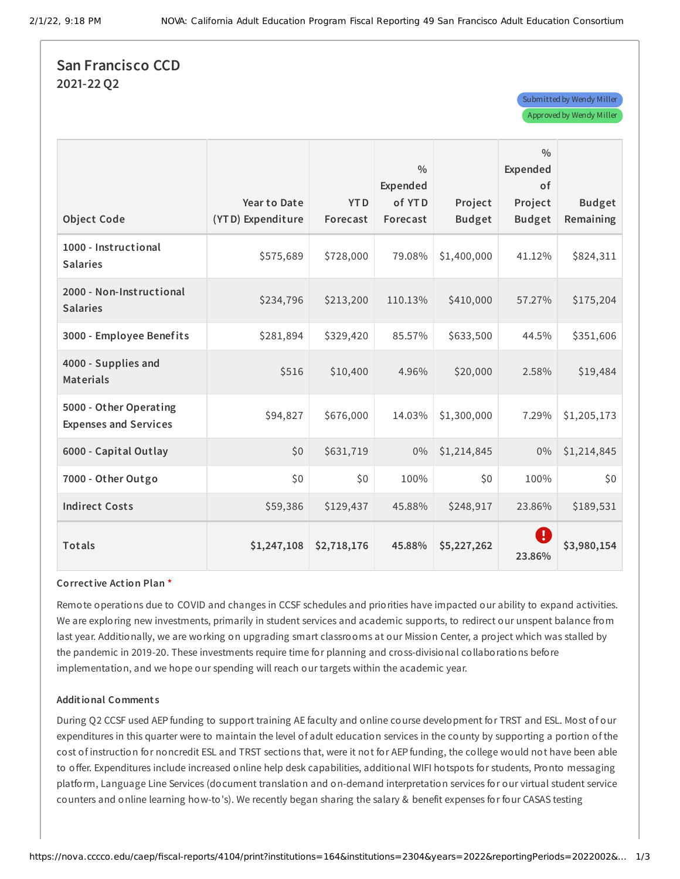Submitted by Wendy Miller Approved by Wendy Miller

## **San Francisco CCD 2021-22 Q2**

| <b>Object Code</b>                                     | Year to Date<br>(YTD) Expenditure | <b>YTD</b><br>Forecast | $\frac{0}{0}$<br>Expended<br>of YTD<br>Forecast | Project<br><b>Budget</b> | $\frac{0}{0}$<br>Expended<br>of<br>Project<br><b>Budget</b> | <b>Budget</b><br>Remaining |
|--------------------------------------------------------|-----------------------------------|------------------------|-------------------------------------------------|--------------------------|-------------------------------------------------------------|----------------------------|
| 1000 - Instructional<br><b>Salaries</b>                | \$575,689                         | \$728,000              | 79.08%                                          | \$1,400,000              | 41.12%                                                      | \$824,311                  |
| 2000 - Non-Instructional<br><b>Salaries</b>            | \$234,796                         | \$213,200              | 110.13%                                         | \$410,000                | 57.27%                                                      | \$175,204                  |
| 3000 - Employee Benefits                               | \$281,894                         | \$329,420              | 85.57%                                          | \$633,500                | 44.5%                                                       | \$351,606                  |
| 4000 - Supplies and<br><b>Materials</b>                | \$516                             | \$10,400               | 4.96%                                           | \$20,000                 | 2.58%                                                       | \$19,484                   |
| 5000 - Other Operating<br><b>Expenses and Services</b> | \$94,827                          | \$676,000              | 14.03%                                          | \$1,300,000              | 7.29%                                                       | \$1,205,173                |
| 6000 - Capital Outlay                                  | \$0                               | \$631,719              | 0%                                              | \$1,214,845              | $0\%$                                                       | \$1,214,845                |
| 7000 - Other Outgo                                     | \$0                               | \$0                    | 100%                                            | \$0\$                    | 100%                                                        | \$0\$                      |
| <b>Indirect Costs</b>                                  | \$59,386                          | \$129,437              | 45.88%                                          | \$248,917                | 23.86%                                                      | \$189,531                  |
| <b>Totals</b>                                          | \$1,247,108                       | \$2,718,176            | 45.88%                                          | \$5,227,262              | $\left[ \cdot \right]$<br>23.86%                            | \$3,980,154                |

#### **Corrective Action Plan \***

Remote operations due to COVID and changes in CCSF schedules and priorities have impacted our ability to expand activities. We are exploring new investments, primarily in student services and academic supports, to redirect our unspent balance from last year. Additionally, we are working on upgrading smart classrooms at our Mission Center, a project which was stalled by the pandemic in 2019-20. These investments require time for planning and cross-divisional collaborations before implementation, and we hope our spending will reach our targets within the academic year.

#### **Additional Comment s**

During Q2 CCSF used AEP funding to support training AE faculty and online course development for TRST and ESL. Most of our expenditures in this quarter were to maintain the level of adult education services in the county by supporting a portion of the cost of instruction for noncredit ESL and TRST sections that, were it not for AEP funding, the college would not have been able to offer. Expenditures include increased online help desk capabilities, additional WIFI hotspots for students, Pronto messaging platform, Language Line Services (document translation and on-demand interpretation services for our virtual student service counters and online learning how-to's). We recently began sharing the salary & benefit expenses for four CASAS testing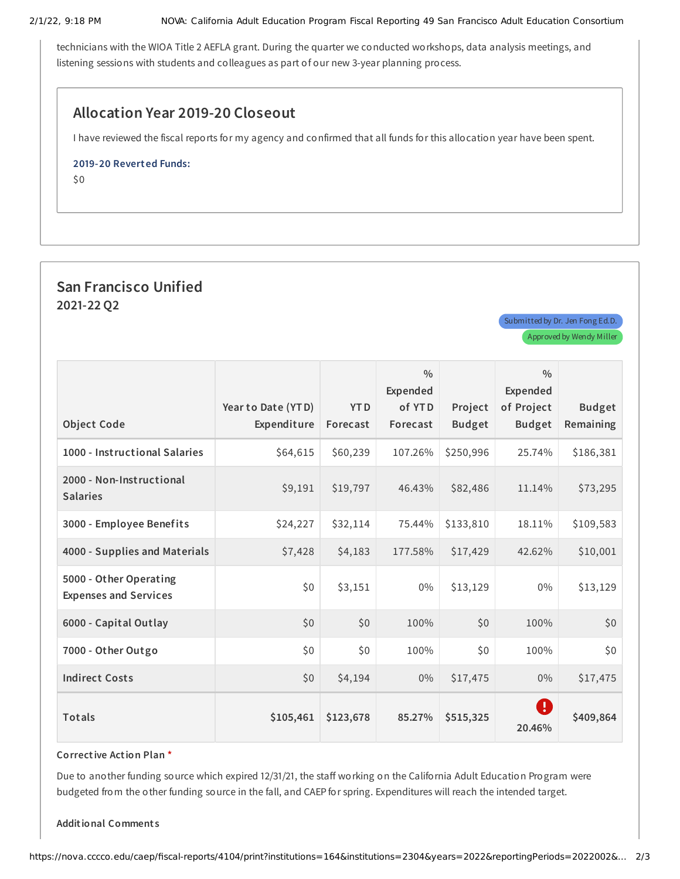technicians with the WIOA Title 2 AEFLA grant. During the quarter we conducted workshops, data analysis meetings, and listening sessions with students and colleagues as part of our new 3-year planning process.

## **Allocation Year 2019-20 Closeout**

I have reviewed the fiscal reports for my agency and confirmed that all funds for this allocation year have been spent.

#### **2019-20 Reverted Funds:**

\$0

# **San Francisco Unified 2021-22 Q2**

|                                                        | Year to Date (YTD) | <b>YTD</b> | $\frac{0}{0}$<br>Expended<br>of YTD | Project       | $\frac{0}{0}$<br>Expended<br>of Project | <b>Budget</b> |
|--------------------------------------------------------|--------------------|------------|-------------------------------------|---------------|-----------------------------------------|---------------|
| <b>Object Code</b>                                     | Expenditure        | Forecast   | Forecast                            | <b>Budget</b> | <b>Budget</b>                           | Remaining     |
| 1000 - Instructional Salaries                          | \$64,615           | \$60,239   | 107.26%                             | \$250,996     | 25.74%                                  | \$186,381     |
| 2000 - Non-Instructional<br><b>Salaries</b>            | \$9,191            | \$19,797   | 46.43%                              | \$82,486      | 11.14%                                  | \$73,295      |
| 3000 - Employee Benefits                               | \$24,227           | \$32,114   | 75.44%                              | \$133,810     | 18.11%                                  | \$109,583     |
| 4000 - Supplies and Materials                          | \$7,428            | \$4,183    | 177.58%                             | \$17,429      | 42.62%                                  | \$10,001      |
| 5000 - Other Operating<br><b>Expenses and Services</b> | \$0                | \$3,151    | $0\%$                               | \$13,129      | $0\%$                                   | \$13,129      |
| 6000 - Capital Outlay                                  | \$0                | \$0        | 100%                                | \$0           | 100%                                    | \$0           |
| 7000 - Other Outgo                                     | \$0                | \$0        | 100%                                | \$0           | 100%                                    | \$0           |
| <b>Indirect Costs</b>                                  | \$0                | \$4,194    | $0\%$                               | \$17,475      | 0%                                      | \$17,475      |
| <b>Totals</b>                                          | \$105,461          | \$123,678  | 85.27%                              | \$515,325     | Ø<br>20.46%                             | \$409,864     |

**Corrective Action Plan \***

Due to another funding source which expired 12/31/21, the staff working on the California Adult Education Program were budgeted from the other funding source in the fall, and CAEP for spring. Expenditures will reach the intended target.

**Additional Comment s**

Submitted by Dr. Jen Fong Ed.D. Approved by Wendy Miller